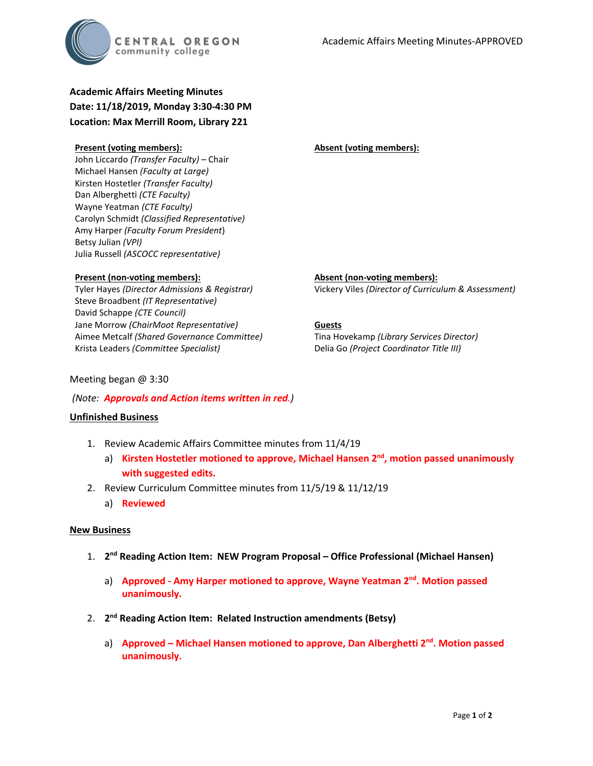

# **Academic Affairs Meeting Minutes Date: 11/18/2019, Monday 3:30-4:30 PM Location: Max Merrill Room, Library 221**

#### **Present (voting members):**

John Liccardo *(Transfer Faculty)* – Chair Michael Hansen *(Faculty at Large)* Kirsten Hostetler *(Transfer Faculty)* Dan Alberghetti *(CTE Faculty)* Wayne Yeatman *(CTE Faculty)* Carolyn Schmidt *(Classified Representative)* Amy Harper *(Faculty Forum President*) Betsy Julian *(VPI)* Julia Russell *(ASCOCC representative)*

#### **Present (non-voting members):**

Tyler Hayes *(Director Admissions & Registrar)* Steve Broadbent *(IT Representative)* David Schappe *(CTE Council)* Jane Morrow *(ChairMoot Representative)* Aimee Metcalf *(Shared Governance Committee)* Krista Leaders *(Committee Specialist)*

**Absent (non-voting members):** Vickery Viles *(Director of Curriculum & Assessment)*

#### **Guests**

Tina Hovekamp *(Library Services Director)* Delia Go *(Project Coordinator Title III)*

**Absent (voting members):**

## Meeting began @ 3:30

#### *(Note: Approvals and Action items written in red.)*

## **Unfinished Business**

- 1. Review Academic Affairs Committee minutes from 11/4/19
	- a) **Kirsten Hostetler motioned to approve, Michael Hansen 2nd, motion passed unanimously with suggested edits.**
- 2. Review Curriculum Committee minutes from 11/5/19 & 11/12/19
	- a) **Reviewed**

#### **New Business**

- 1. **2nd Reading Action Item: NEW Program Proposal – Office Professional (Michael Hansen)**
	- a) **Approved - Amy Harper motioned to approve, Wayne Yeatman 2nd. Motion passed unanimously.**
- 2. **2nd Reading Action Item: Related Instruction amendments (Betsy)**
	- a) **Approved – Michael Hansen motioned to approve, Dan Alberghetti 2nd. Motion passed unanimously.**